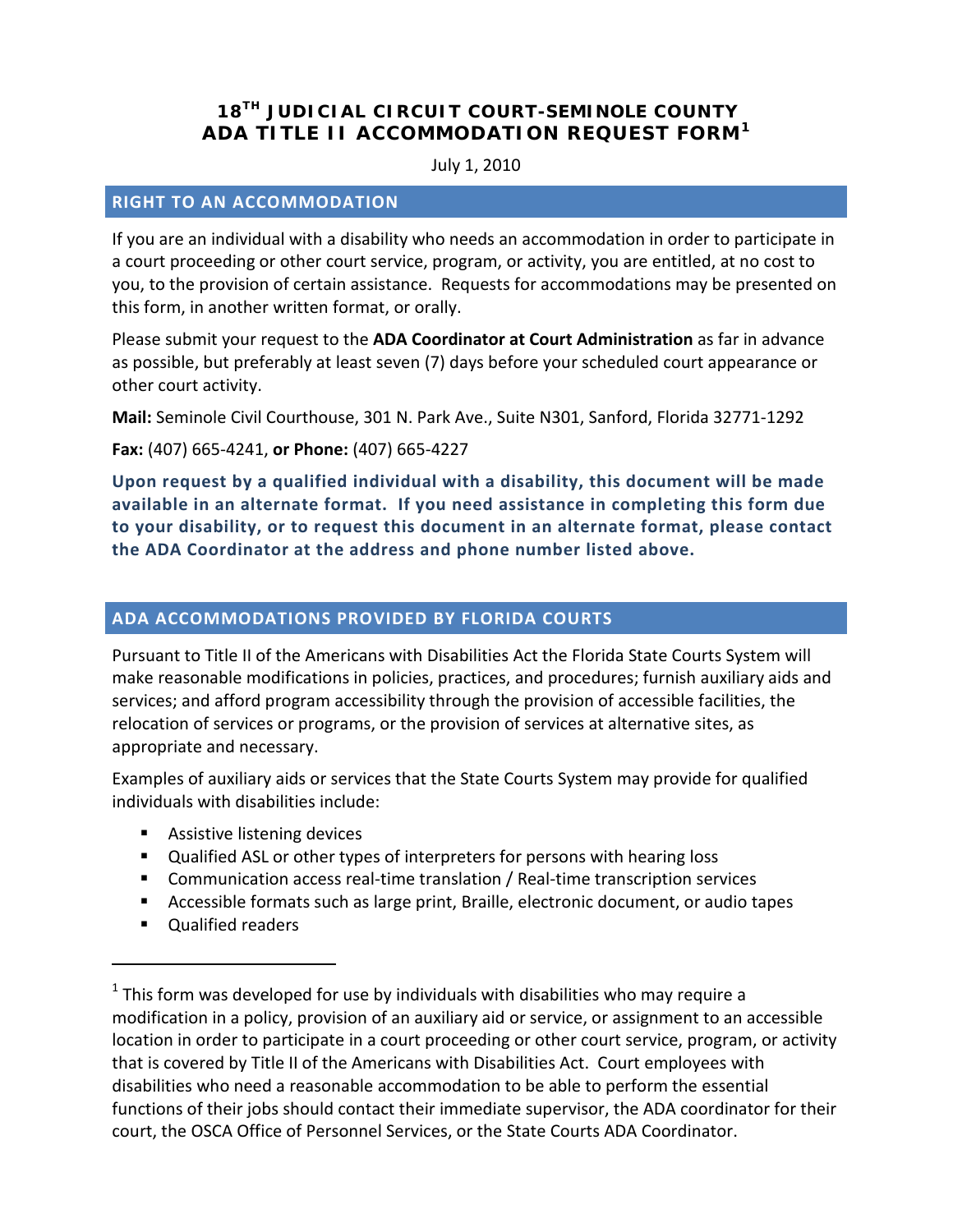# **18TH JUDICIAL CIRCUIT COURT-SEMINOLE COUNTY ADA TITLE II ACCOMMODATION REQUEST FORM[1](#page-0-0)**

#### July 1, 2010

#### **RIGHT TO AN ACCOMMODATION**

If you are an individual with a disability who needs an accommodation in order to participate in a court proceeding or other court service, program, or activity, you are entitled, at no cost to you, to the provision of certain assistance. Requests for accommodations may be presented on this form, in another written format, or orally.

Please submit your request to the **ADA Coordinator at Court Administration** as far in advance as possible, but preferably at least seven (7) days before your scheduled court appearance or other court activity.

**Mail:** Seminole Civil Courthouse, 301 N. Park Ave., Suite N301, Sanford, Florida 32771-1292

**Fax:** (407) 665-4241, **or Phone:** (407) 665-4227

**Upon request by a qualified individual with a disability, this document will be made available in an alternate format. If you need assistance in completing this form due to your disability, or to request this document in an alternate format, please contact the ADA Coordinator at the address and phone number listed above.** 

### **ADA ACCOMMODATIONS PROVIDED BY FLORIDA COURTS**

Pursuant to Title II of the Americans with Disabilities Act the Florida State Courts System will make reasonable modifications in policies, practices, and procedures; furnish auxiliary aids and services; and afford program accessibility through the provision of accessible facilities, the relocation of services or programs, or the provision of services at alternative sites, as appropriate and necessary.

Examples of auxiliary aids or services that the State Courts System may provide for qualified individuals with disabilities include:

- **Assistive listening devices**
- Qualified ASL or other types of interpreters for persons with hearing loss
- Communication access real-time translation / Real-time transcription services
- Accessible formats such as large print, Braille, electronic document, or audio tapes
- **Qualified readers**

 $\overline{a}$ 

<span id="page-0-0"></span> $1$  This form was developed for use by individuals with disabilities who may require a modification in a policy, provision of an auxiliary aid or service, or assignment to an accessible location in order to participate in a court proceeding or other court service, program, or activity that is covered by Title II of the Americans with Disabilities Act. Court employees with disabilities who need a reasonable accommodation to be able to perform the essential functions of their jobs should contact their immediate supervisor, the ADA coordinator for their court, the OSCA Office of Personnel Services, or the State Courts ADA Coordinator.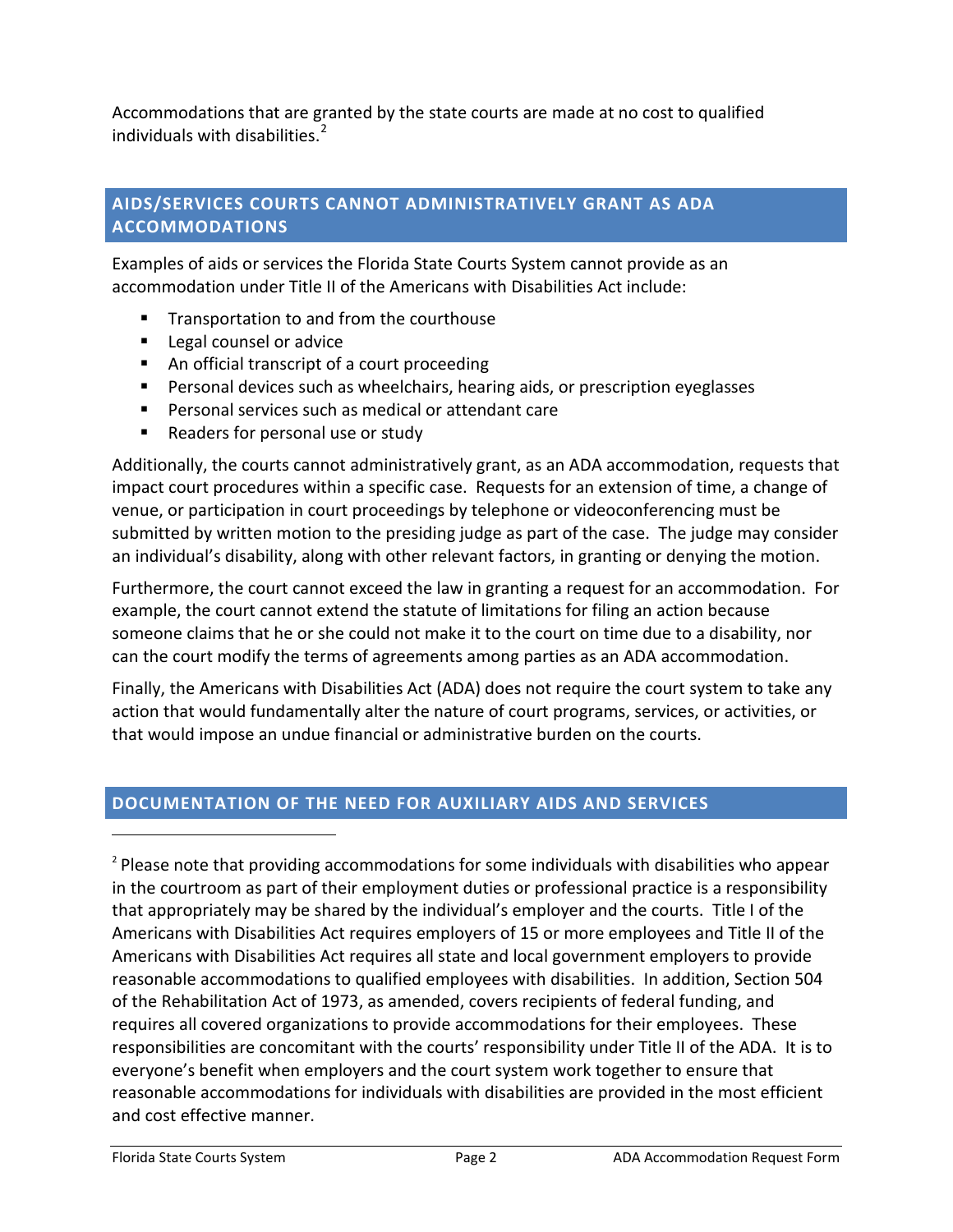Accommodations that are granted by the state courts are made at no cost to qualified individuals with disabilities. $2$ 

## **AIDS/SERVICES COURTS CANNOT ADMINISTRATIVELY GRANT AS ADA ACCOMMODATIONS**

Examples of aids or services the Florida State Courts System cannot provide as an accommodation under Title II of the Americans with Disabilities Act include:

- **Transportation to and from the courthouse**
- **Legal counsel or advice**
- An official transcript of a court proceeding
- Personal devices such as wheelchairs, hearing aids, or prescription eyeglasses
- **Personal services such as medical or attendant care**
- Readers for personal use or study

Additionally, the courts cannot administratively grant, as an ADA accommodation, requests that impact court procedures within a specific case. Requests for an extension of time, a change of venue, or participation in court proceedings by telephone or videoconferencing must be submitted by written motion to the presiding judge as part of the case. The judge may consider an individual's disability, along with other relevant factors, in granting or denying the motion.

Furthermore, the court cannot exceed the law in granting a request for an accommodation. For example, the court cannot extend the statute of limitations for filing an action because someone claims that he or she could not make it to the court on time due to a disability, nor can the court modify the terms of agreements among parties as an ADA accommodation.

Finally, the Americans with Disabilities Act (ADA) does not require the court system to take any action that would fundamentally alter the nature of court programs, services, or activities, or that would impose an undue financial or administrative burden on the courts.

## **DOCUMENTATION OF THE NEED FOR AUXILIARY AIDS AND SERVICES**

<span id="page-1-0"></span><sup>2</sup> Please note that providing accommodations for some individuals with disabilities who appear in the courtroom as part of their employment duties or professional practice is a responsibility that appropriately may be shared by the individual's employer and the courts. Title I of the Americans with Disabilities Act requires employers of 15 or more employees and Title II of the Americans with Disabilities Act requires all state and local government employers to provide reasonable accommodations to qualified employees with disabilities. In addition, Section 504 of the Rehabilitation Act of 1973, as amended, covers recipients of federal funding, and requires all covered organizations to provide accommodations for their employees. These responsibilities are concomitant with the courts' responsibility under Title II of the ADA. It is to everyone's benefit when employers and the court system work together to ensure that reasonable accommodations for individuals with disabilities are provided in the most efficient and cost effective manner.

 $\overline{a}$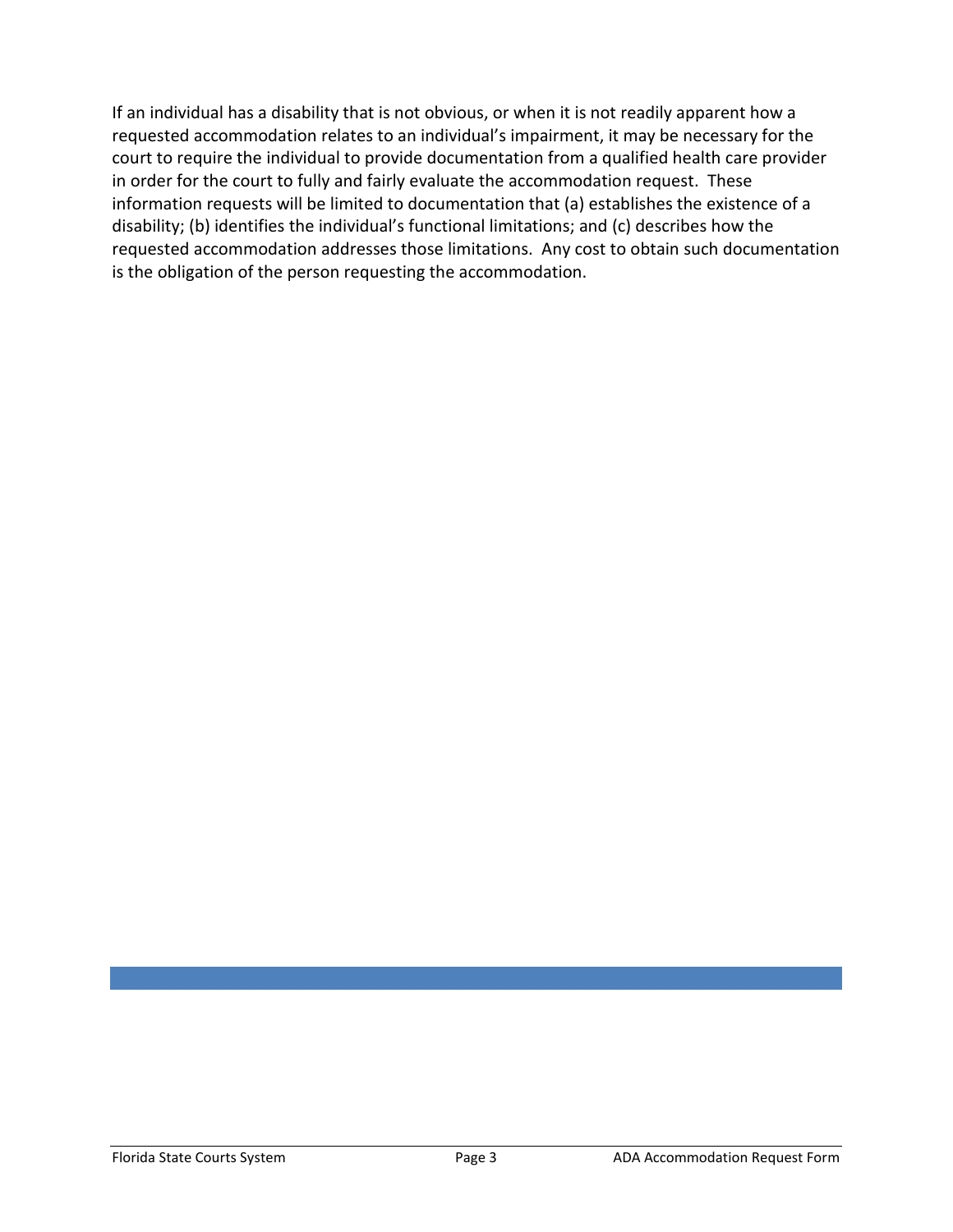If an individual has a disability that is not obvious, or when it is not readily apparent how a requested accommodation relates to an individual's impairment, it may be necessary for the court to require the individual to provide documentation from a qualified health care provider in order for the court to fully and fairly evaluate the accommodation request. These information requests will be limited to documentation that (a) establishes the existence of a disability; (b) identifies the individual's functional limitations; and (c) describes how the requested accommodation addresses those limitations. Any cost to obtain such documentation is the obligation of the person requesting the accommodation.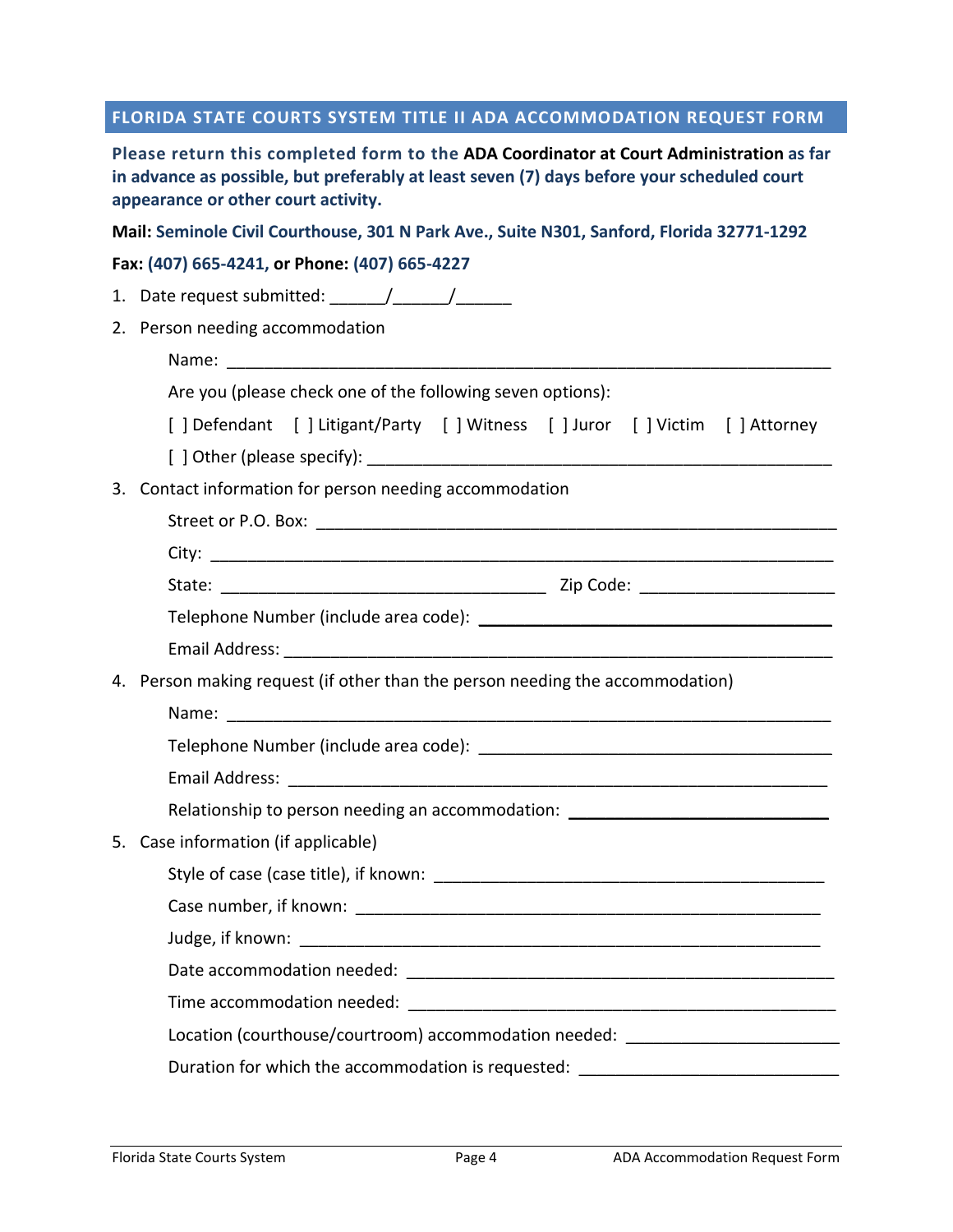### **FLORIDA STATE COURTS SYSTEM TITLE II ADA ACCOMMODATION REQUEST FORM**

**Please return this completed form to the ADA Coordinator at Court Administration as far in advance as possible, but preferably at least seven (7) days before your scheduled court appearance or other court activity.** 

**Mail: Seminole Civil Courthouse, 301 N Park Ave., Suite N301, Sanford, Florida 32771-1292**

#### **Fax: (407) 665-4241, or Phone: (407) 665-4227**

|    | 1. Date request submitted: $\frac{1}{\sqrt{1-\frac{1}{2}}}\frac{1}{\sqrt{1-\frac{1}{2}}}\frac{1}{\sqrt{1-\frac{1}{2}}}\frac{1}{\sqrt{1-\frac{1}{2}}}\frac{1}{\sqrt{1-\frac{1}{2}}}\frac{1}{\sqrt{1-\frac{1}{2}}}\frac{1}{\sqrt{1-\frac{1}{2}}}\frac{1}{\sqrt{1-\frac{1}{2}}}\frac{1}{\sqrt{1-\frac{1}{2}}}\frac{1}{\sqrt{1-\frac{1}{2}}}\frac{1}{\sqrt{1-\frac{1}{2}}}\frac{1}{\sqrt{1-\frac{1}{2}}}\$ |  |  |
|----|--------------------------------------------------------------------------------------------------------------------------------------------------------------------------------------------------------------------------------------------------------------------------------------------------------------------------------------------------------------------------------------------------------|--|--|
|    | 2. Person needing accommodation                                                                                                                                                                                                                                                                                                                                                                        |  |  |
|    | Name:                                                                                                                                                                                                                                                                                                                                                                                                  |  |  |
|    | Are you (please check one of the following seven options):                                                                                                                                                                                                                                                                                                                                             |  |  |
|    | [] Defendant [] Litigant/Party [] Witness [] Juror [] Victim [] Attorney                                                                                                                                                                                                                                                                                                                               |  |  |
|    |                                                                                                                                                                                                                                                                                                                                                                                                        |  |  |
|    | 3. Contact information for person needing accommodation                                                                                                                                                                                                                                                                                                                                                |  |  |
|    |                                                                                                                                                                                                                                                                                                                                                                                                        |  |  |
|    |                                                                                                                                                                                                                                                                                                                                                                                                        |  |  |
|    |                                                                                                                                                                                                                                                                                                                                                                                                        |  |  |
|    |                                                                                                                                                                                                                                                                                                                                                                                                        |  |  |
|    |                                                                                                                                                                                                                                                                                                                                                                                                        |  |  |
|    | 4. Person making request (if other than the person needing the accommodation)                                                                                                                                                                                                                                                                                                                          |  |  |
|    |                                                                                                                                                                                                                                                                                                                                                                                                        |  |  |
|    |                                                                                                                                                                                                                                                                                                                                                                                                        |  |  |
|    |                                                                                                                                                                                                                                                                                                                                                                                                        |  |  |
|    | Relationship to person needing an accommodation: _______________________________                                                                                                                                                                                                                                                                                                                       |  |  |
| 5. | Case information (if applicable)                                                                                                                                                                                                                                                                                                                                                                       |  |  |
|    |                                                                                                                                                                                                                                                                                                                                                                                                        |  |  |
|    |                                                                                                                                                                                                                                                                                                                                                                                                        |  |  |
|    |                                                                                                                                                                                                                                                                                                                                                                                                        |  |  |
|    |                                                                                                                                                                                                                                                                                                                                                                                                        |  |  |
|    |                                                                                                                                                                                                                                                                                                                                                                                                        |  |  |
|    | Location (courthouse/courtroom) accommodation needed: __________________________                                                                                                                                                                                                                                                                                                                       |  |  |
|    | Duration for which the accommodation is requested:                                                                                                                                                                                                                                                                                                                                                     |  |  |